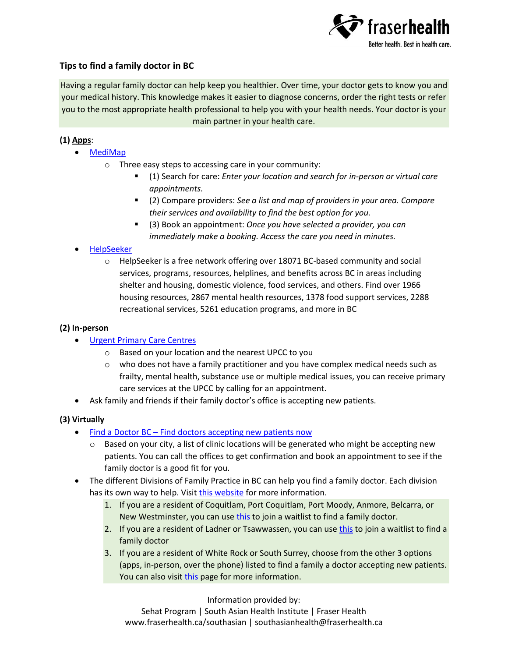

# **Tips to find a family doctor in BC**

Having a regular family doctor can help keep you healthier. Over time, your doctor gets to know you and your medical history. This knowledge makes it easier to diagnose concerns, order the right tests or refer you to the most appropriate health professional to help you with your health needs. Your doctor is your main partner in your health care.

### **(1) Apps**:

- [MediMap](https://medimap.ca/)
	- o Three easy steps to accessing care in your community:
		- (1) Search for care: *Enter your location and search for in-person or virtual care appointments.*
		- (2) Compare providers: *See a list and map of providers in your area. Compare their services and availability to find the best option for you.*
		- (3) Book an appointment: *Once you have selected a provider, you can immediately make a booking. Access the care you need in minutes.*

### [HelpSeeker](https://helpseeker.org/)

 $\circ$  HelpSeeker is a free network offering over 18071 BC-based community and social services, programs, resources, helplines, and benefits across BC in areas including shelter and housing, domestic violence, food services, and others. Find over 1966 housing resources, 2867 mental health resources, 1378 food support services, 2288 recreational services, 5261 education programs, and more in BC

#### **(2) In-person**

- **[Urgent Primary Care Centres](https://www.healthlinkbc.ca/health-services/urgent-and-primary-care-centres)** 
	- o Based on your location and the nearest UPCC to you
	- $\circ$  who does not have a family practitioner and you have complex medical needs such as frailty, mental health, substance use or multiple medical issues, you can receive primary care services at the UPCC by calling for an appointment.
- Ask family and friends if their family doctor's office is accepting new patients.

### **(3) Virtually**

- Find a Doctor BC [Find doctors accepting new patients now](https://www.findadoctorbc.ca/)
	- $\circ$  Based on your city, a list of clinic locations will be generated who might be accepting new patients. You can call the offices to get confirmation and book an appointment to see if the family doctor is a good fit for you.
- The different Divisions of Family Practice in BC can help you find a family doctor. Each division has its own way to help. Visit [this website](https://divisionsbc.ca/divisions-in-bc) for more information.
	- 1. If you are a resident of Coquitlam, Port Coquitlam, Port Moody, Anmore, Belcarra, or New Westminster, you can use [this](https://divisionsbc.ca/fraser-northwest/finding-a-family-doctor) to join a waitlist to find a family doctor.
	- 2. If you are a resident of Ladner or Tsawwassen, you can use [this](https://delta.fetchbc.ca/patientregistry/find-doctor.html) to join a waitlist to find a family doctor
	- 3. If you are a resident of White Rock or South Surrey, choose from the other 3 options (apps, in-person, over the phone) listed to find a family a doctor accepting new patients. You can also visi[t this](https://divisionsbc.ca/white-rock-south-surrey/for-patients/agpforme) page for more information.

Information provided by:

Sehat Program | South Asian Health Institute | Fraser Health www.fraserhealth.ca/southasian | southasianhealth@fraserhealth.ca